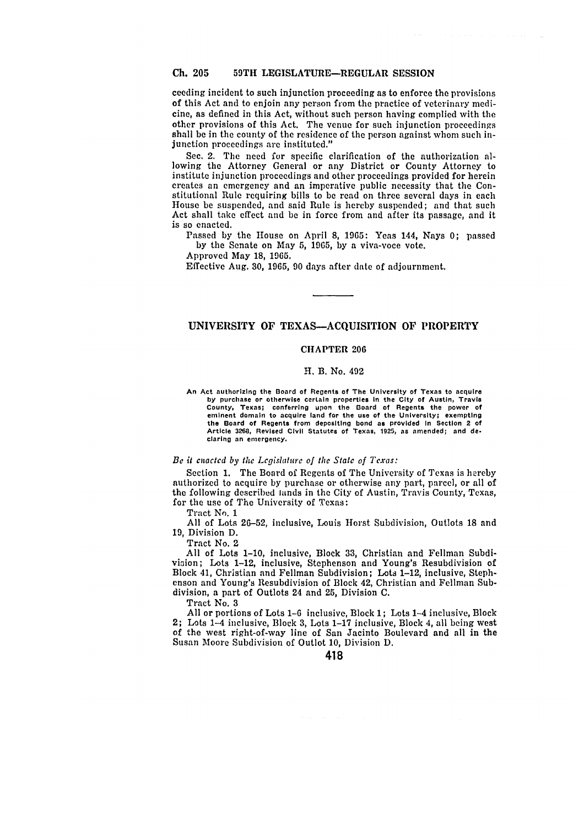ceeding incident to such injunction proceeding as to enforce the provisions of this Act and to enjoin any person from the practice of veterinary medicine, as defined in this Act, without such person having complied with the other provisions of this Act. The venue for such injunction proceedings shall be in the county of the residence of the person against whom such injunction proceedings are instituted."

Sec. 2. The need for specific clarification of the authorization allowing the Attorney General or any District or County Attorney to institute injunction proceedings and other proceedings provided for herein creates an emergency and an imperative public necessity that the Constitutional Rule requiring bills to be read on three several days in each House be suspended, and said Rule is hereby suspended; and that such Act shall take effect and be in force from and after its passage, and it is so enacted.

Passed by the House on April **8,** 1965: Yeas 144, Nays **0;** passed by the Senate on May 5, 1965, by a viva-voce vote.

Approved May **18,** 1965.

Effective Aug. 30, 1965, 90 days after date of adjournment.

## UNIVERSITY OF **TEXAS-ACQUISITION** OF PROPERTY

## **CHAPTER 206**

## **H. B.** No. 492

**An Act authorizing the Board of Regents of The University of Texas to acquire by purchase or otherwise certain properties In the City of Austin, Travis County, Texas; conferring upon the Board of Regents the power of eminent domain to acquire land for the use of the University; exempting the Board of Regents from depositing bond as provided In Section 2 of Article 3268, Revised Clvil Statutes of Texas, 1925, as amended; and de. claring an emergency.**

## *Be it* enacted *by* **the** *Legislaturc of the State of Texas:*

Section 1. The Board of Regents of The University of Texas is hereby authorized to acquire **by** purchase or otherwise any part, parcel, or all of the following described lands in the City of Austin, Travis County, Texas, for the use of The University of Texas:

Tract No. 1

All of Lots 26-52, inclusive, Louis Horst Subdivision, Outlots 18 and 19, Division D.

Tract No. 2

All of Lots **1-10,** inclusive, Block 33, Christian and Fellman Subdivioion; Lots 1-12, inclusive, Stephenson and Young's Resubdivision of Block 41, Christian and Fellman Subdivision; Lots 1-12, inclusive, Stephenson and Young's Resubdivision of Block 42, Christian and Fellman Subdivision, a part of Outlots 24 and **25,** Division C.

Tract No. 3

All or portions of Lots 1-6 inclusive, Block 1; Lots 1-4 inclusive, Block 2; Lots 1-4 inclusive, Block 3, Lots 1-17 inclusive, Block 4, all being west of the west right-of-way line of San Jacinto Boulevard and all in the Susan Moore Subdivision of Outlot 10, Division D.